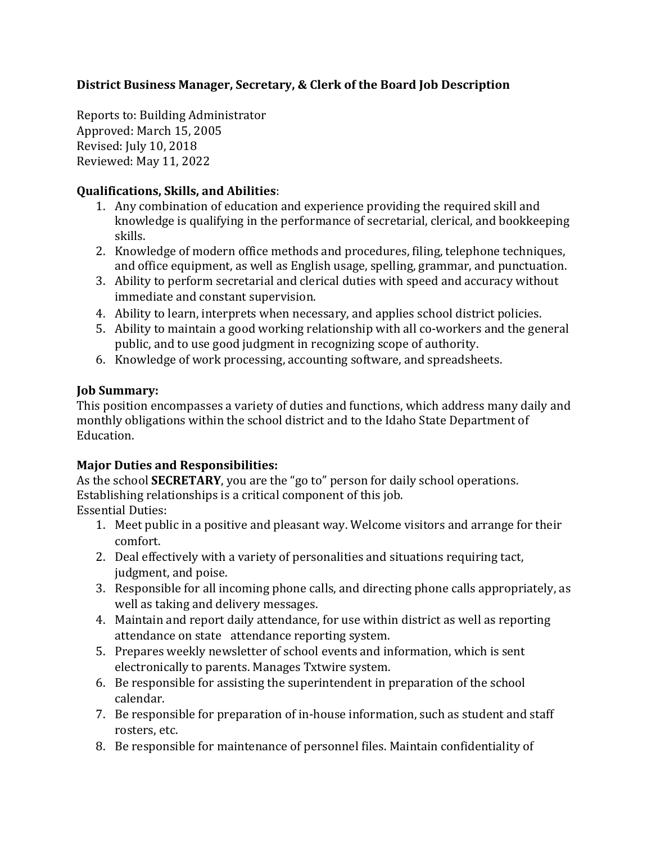# District Business Manager, Secretary, & Clerk of the Board Job Description

Reports to: Building Administrator Approved: March 15, 2005 Revised: July 10, 2018 Reviewed: May 11, 2022

### **Qualifications, Skills, and Abilities**:

- 1. Any combination of education and experience providing the required skill and knowledge is qualifying in the performance of secretarial, clerical, and bookkeeping skills.
- 2. Knowledge of modern office methods and procedures, filing, telephone techniques, and office equipment, as well as English usage, spelling, grammar, and punctuation.
- 3. Ability to perform secretarial and clerical duties with speed and accuracy without immediate and constant supervision.
- 4. Ability to learn, interprets when necessary, and applies school district policies.
- 5. Ability to maintain a good working relationship with all co-workers and the general public, and to use good judgment in recognizing scope of authority.
- 6. Knowledge of work processing, accounting software, and spreadsheets.

# **Job Summary:**

This position encompasses a variety of duties and functions, which address many daily and monthly obligations within the school district and to the Idaho State Department of Education. 

# **Major Duties and Responsibilities:**

As the school **SECRETARY**, you are the "go to" person for daily school operations. Establishing relationships is a critical component of this job.

**Essential Duties:** 

- 1. Meet public in a positive and pleasant way. Welcome visitors and arrange for their comfort.
- 2. Deal effectively with a variety of personalities and situations requiring tact, judgment, and poise.
- 3. Responsible for all incoming phone calls, and directing phone calls appropriately, as well as taking and delivery messages.
- 4. Maintain and report daily attendance, for use within district as well as reporting attendance on state attendance reporting system.
- 5. Prepares weekly newsletter of school events and information, which is sent electronically to parents. Manages Txtwire system.
- 6. Be responsible for assisting the superintendent in preparation of the school calendar.
- 7. Be responsible for preparation of in-house information, such as student and staff rosters, etc.
- 8. Be responsible for maintenance of personnel files. Maintain confidentiality of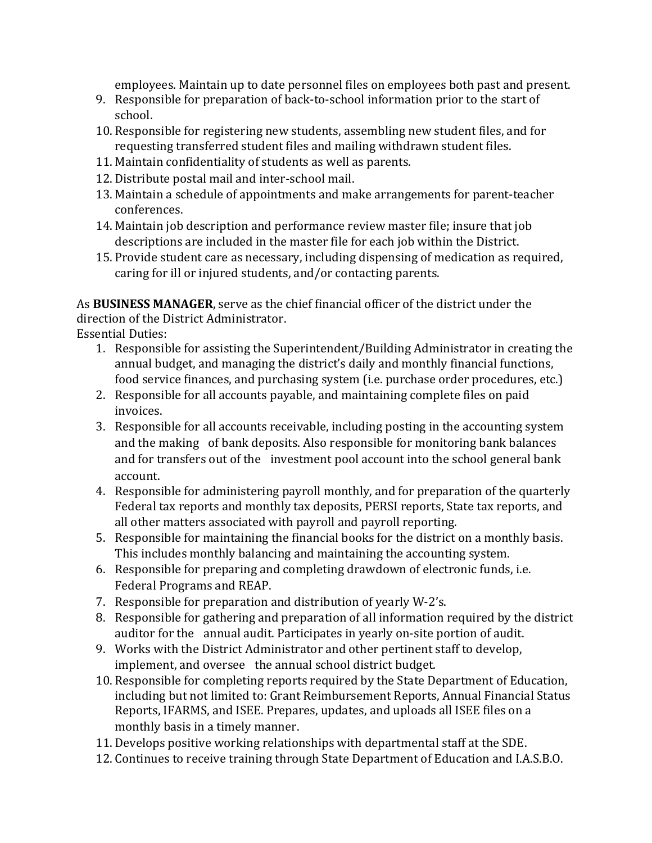employees. Maintain up to date personnel files on employees both past and present.

- 9. Responsible for preparation of back-to-school information prior to the start of school.
- 10. Responsible for registering new students, assembling new student files, and for requesting transferred student files and mailing withdrawn student files.
- 11. Maintain confidentiality of students as well as parents.
- 12. Distribute postal mail and inter-school mail.
- 13. Maintain a schedule of appointments and make arrangements for parent-teacher conferences.
- 14. Maintain job description and performance review master file; insure that job descriptions are included in the master file for each job within the District.
- 15. Provide student care as necessary, including dispensing of medication as required, caring for ill or injured students, and/or contacting parents.

As **BUSINESS MANAGER**, serve as the chief financial officer of the district under the direction of the District Administrator.

**Essential Duties:** 

- 1. Responsible for assisting the Superintendent/Building Administrator in creating the annual budget, and managing the district's daily and monthly financial functions, food service finances, and purchasing system (i.e. purchase order procedures, etc.)
- 2. Responsible for all accounts payable, and maintaining complete files on paid invoices.
- 3. Responsible for all accounts receivable, including posting in the accounting system and the making of bank deposits. Also responsible for monitoring bank balances and for transfers out of the investment pool account into the school general bank account.
- 4. Responsible for administering payroll monthly, and for preparation of the quarterly Federal tax reports and monthly tax deposits, PERSI reports, State tax reports, and all other matters associated with payroll and payroll reporting.
- 5. Responsible for maintaining the financial books for the district on a monthly basis. This includes monthly balancing and maintaining the accounting system.
- 6. Responsible for preparing and completing drawdown of electronic funds, i.e. Federal Programs and REAP.
- 7. Responsible for preparation and distribution of yearly W-2's.
- 8. Responsible for gathering and preparation of all information required by the district auditor for the annual audit. Participates in yearly on-site portion of audit.
- 9. Works with the District Administrator and other pertinent staff to develop, implement, and oversee the annual school district budget.
- 10. Responsible for completing reports required by the State Department of Education, including but not limited to: Grant Reimbursement Reports, Annual Financial Status Reports, IFARMS, and ISEE. Prepares, updates, and uploads all ISEE files on a monthly basis in a timely manner.
- 11. Develops positive working relationships with departmental staff at the SDE.
- 12. Continues to receive training through State Department of Education and I.A.S.B.O.